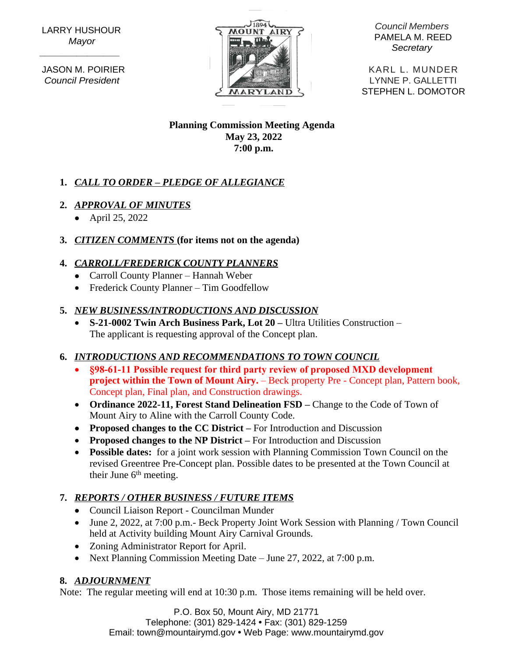LARRY HUSHOUR *Mayor*

 **\_\_\_\_\_\_\_\_\_\_\_\_\_\_\_**

 JASON M. POIRIER *Council President*



*Council Members* PAMELA M. REED *Secretary*

KARL L. MUNDER LYNNE P. GALLETTI MARYLAND \ STEPHEN L. DOMOTOR

#### **Planning Commission Meeting Agenda May 23, 2022 7:00 p.m.**

# **1.** *CALL TO ORDER – PLEDGE OF ALLEGIANCE*

### **2.** *APPROVAL OF MINUTES*

• April 25, 2022

### **3.** *CITIZEN COMMENTS* **(for items not on the agenda)**

### **4.** *CARROLL/FREDERICK COUNTY PLANNERS*

- Carroll County Planner Hannah Weber
- Frederick County Planner Tim Goodfellow

### **5.** *NEW BUSINESS/INTRODUCTIONS AND DISCUSSION*

 **S-21-0002 Twin Arch Business Park, Lot 20 –** Ultra Utilities Construction – The applicant is requesting approval of the Concept plan.

# **6.** *INTRODUCTIONS AND RECOMMENDATIONS TO TOWN COUNCIL*

- **§98-61-11 Possible request for third party review of proposed MXD development project within the Town of Mount Airy.** – Beck property Pre - Concept plan, Pattern book, Concept plan, Final plan, and Construction drawings.
- **Ordinance 2022-11, Forest Stand Delineation FSD Change to the Code of Town of** Mount Airy to Aline with the Carroll County Code.
- **Proposed changes to the CC District** For Introduction and Discussion
- **Proposed changes to the NP District** For Introduction and Discussion
- **Possible dates:** for a joint work session with Planning Commission Town Council on the revised Greentree Pre-Concept plan. Possible dates to be presented at the Town Council at their June 6<sup>th</sup> meeting.

# **7.** *REPORTS / OTHER BUSINESS / FUTURE ITEMS*

- Council Liaison Report Councilman Munder
- June 2, 2022, at 7:00 p.m.- Beck Property Joint Work Session with Planning / Town Council held at Activity building Mount Airy Carnival Grounds.
- Zoning Administrator Report for April.
- Next Planning Commission Meeting Date June 27, 2022, at 7:00 p.m.

# **8.** *ADJOURNMENT*

Note: The regular meeting will end at 10:30 p.m. Those items remaining will be held over.

P.O. Box 50, Mount Airy, MD 21771 Telephone: (301) 829-1424 **•** Fax: (301) 829-1259 Email: town@mountairymd.gov **•** Web Page: www.mountairymd.gov